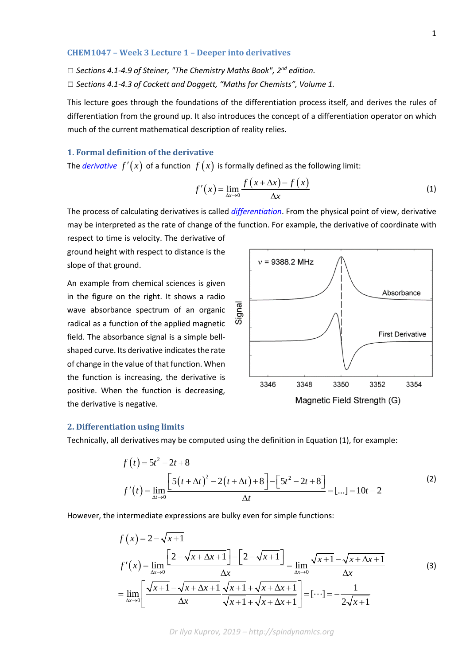#### **CHEM1047 – Week 3 Lecture 1 – Deeper into derivatives**

*□ Sections 4.1-4.9 of Steiner, "The Chemistry Maths Book", 2nd edition.*

*□ Sections 4.1-4.3 of Cockett and Doggett, "Maths for Chemists", Volume 1.*

This lecture goes through the foundations of the differentiation process itself, and derives the rules of differentiation from the ground up. It also introduces the concept of a differentiation operator on which much of the current mathematical description of reality relies.

## **1. Formal definition of the derivative**

The *[derivative](https://en.wikipedia.org/wiki/Derivative)*  $f'(x)$  of a function  $f(x)$  is formally defined as the following limit:

$$
f'(x) = \lim_{\Delta x \to 0} \frac{f(x + \Delta x) - f(x)}{\Delta x}
$$
 (1)

The process of calculating derivatives is called *[differentiation](https://en.wikipedia.org/wiki/Differential_calculus)*. From the physical point of view, derivative may be interpreted as the rate of change of the function. For example, the derivative of coordinate with respect to time is velocity. The derivative of

ground height with respect to distance is the slope of that ground.

An example from chemical sciences is given in the figure on the right. It shows a radio wave absorbance spectrum of an organic radical as a function of the applied magnetic field. The absorbance signal is a simple bellshaped curve. Its derivative indicates the rate of change in the value of that function. When the function is increasing, the derivative is positive. When the function is decreasing, the derivative is negative.



#### **2. Differentiation using limits**

Technically, all derivatives may be computed using the definition in Equation (1), for example:

$$
f(t) = 5t^2 - 2t + 8
$$
  
\n
$$
f'(t) = \lim_{\Delta t \to 0} \frac{\left[5(t + \Delta t)^2 - 2(t + \Delta t) + 8\right] - \left[5t^2 - 2t + 8\right]}{\Delta t} = [\dots] = 10t - 2
$$
\n(2)

However, the intermediate expressions are bulky even for simple functions:

$$
f(x) = 2 - \sqrt{x+1}
$$
  
\n
$$
f'(x) = \lim_{\Delta x \to 0} \frac{\left[2 - \sqrt{x + \Delta x + 1}\right] - \left[2 - \sqrt{x+1}\right]}{\Delta x} = \lim_{\Delta x \to 0} \frac{\sqrt{x+1} - \sqrt{x + \Delta x + 1}}{\Delta x}
$$
(3)  
\n
$$
= \lim_{\Delta x \to 0} \left[\frac{\sqrt{x+1} - \sqrt{x + \Delta x + 1}}{\Delta x} \frac{\sqrt{x+1} + \sqrt{x + \Delta x + 1}}{\sqrt{x+1} + \sqrt{x + \Delta x + 1}}\right] = [\cdots] = -\frac{1}{2\sqrt{x+1}}
$$

*Dr Ilya Kuprov, 2019 – http://spindynamics.org*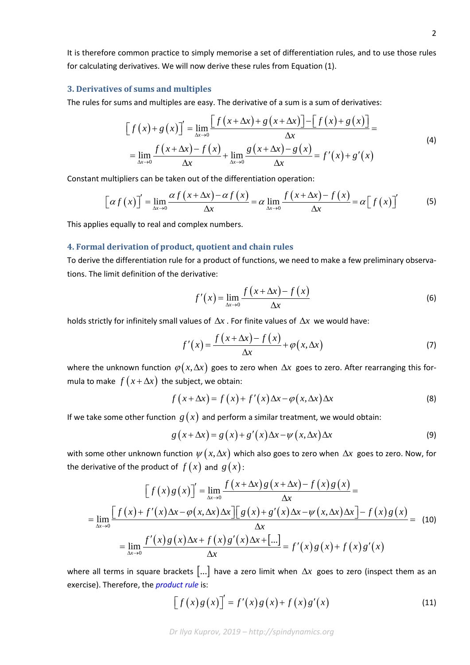It is therefore common practice to simply memorise a set of differentiation rules, and to use those rules for calculating derivatives. We will now derive these rules from Equation (1).

#### **3. Derivatives of sums and multiples**

The rules for sums and multiples are easy. The derivative of a sum is a sum of derivatives:

$$
\[f\left(x\right) + g\left(x\right)\] = \lim_{\Delta x \to 0} \frac{\[f\left(x + \Delta x\right) + g\left(x + \Delta x\right)\] - \[f\left(x\right) + g\left(x\right)\]}{\Delta x} = \lim_{\Delta x \to 0} \frac{f\left(x + \Delta x\right) - f\left(x\right)}{\Delta x} + \lim_{\Delta x \to 0} \frac{g\left(x + \Delta x\right) - g\left(x\right)}{\Delta x} = f'\left(x\right) + g'\left(x\right) \tag{4}
$$

Constant multipliers can be taken out of the differentiation operation:

$$
\[ \alpha f(x) \]' = \lim_{\Delta x \to 0} \frac{\alpha f(x + \Delta x) - \alpha f(x)}{\Delta x} = \alpha \lim_{\Delta x \to 0} \frac{f(x + \Delta x) - f(x)}{\Delta x} = \alpha \left[ f(x) \right]' \tag{5}
$$

This applies equally to real and complex numbers.

## **4. Formal derivation of product, quotient and chain rules**

To derive the differentiation rule for a product of functions, we need to make a few preliminary observations. The limit definition of the derivative:

$$
f'(x) = \lim_{\Delta x \to 0} \frac{f(x + \Delta x) - f(x)}{\Delta x}
$$
 (6)

holds strictly for infinitely small values of ∆*x* . For finite values of ∆*x* we would have:

$$
f'(x) = \frac{f(x + \Delta x) - f(x)}{\Delta x} + \varphi(x, \Delta x)
$$
 (7)

where the unknown function  $\varphi(x, \Delta x)$  goes to zero when  $\Delta x$  goes to zero. After rearranging this formula to make  $f(x + \Delta x)$  the subject, we obtain:

$$
f(x + \Delta x) = f(x) + f'(x)\Delta x - \varphi(x, \Delta x)\Delta x
$$
 (8)

If we take some other function  $g(x)$  and perform a similar treatment, we would obtain:

$$
g(x + \Delta x) = g(x) + g'(x)\Delta x - \psi(x, \Delta x)\Delta x
$$
\n(9)

with some other unknown function  $\psi(x, \Delta x)$  which also goes to zero when  $\Delta x$  goes to zero. Now, for the derivative of the product of  $f(x)$  and  $g(x)$ :

$$
\left[f(x)g(x)\right]' = \lim_{\Delta x \to 0} \frac{f(x + \Delta x)g(x + \Delta x) - f(x)g(x)}{\Delta x} =
$$
\n
$$
= \lim_{\Delta x \to 0} \frac{\left[f(x) + f'(x)\Delta x - \varphi(x,\Delta x)\Delta x\right]\left[g(x) + g'(x)\Delta x - \psi(x,\Delta x)\Delta x\right] - f(x)g(x)}{\Delta x} =
$$
\n
$$
= \lim_{\Delta x \to 0} \frac{f'(x)g(x)\Delta x + f(x)g'(x)\Delta x + [\dots]}{\Delta x} = f'(x)g(x) + f(x)g'(x)
$$
\n(10)

where all terms in square brackets [...] have a zero limit when ∆*x* goes to zero (inspect them as an exercise). Therefore, the *[product rule](https://en.wikipedia.org/wiki/Product_rule)* is:

$$
\[f\left(x\right)g\left(x\right)\] = f'\left(x\right)g\left(x\right) + f\left(x\right)g'\left(x\right) \tag{11}
$$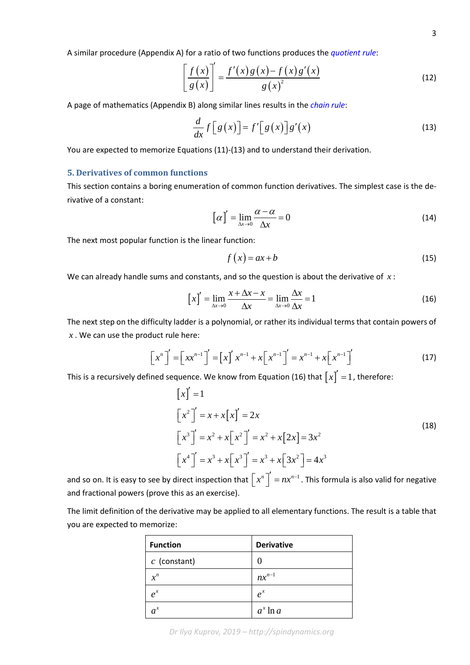A similar procedure (Appendix A) for a ratio of two functions produces the *[quotient rule](https://en.wikipedia.org/wiki/Quotient_rule)*:

$$
\left[\frac{f(x)}{g(x)}\right]' = \frac{f'(x)g(x) - f(x)g'(x)}{g(x)^2}
$$
\n(12)

A page of mathematics (Appendix B) along similar lines results in the *[chain rule](https://en.wikipedia.org/wiki/Chain_rule)*:

$$
\frac{d}{dx}f[g(x)]=f'[g(x)]g'(x)
$$
\n(13)

You are expected to memorize Equations (11)-(13) and to understand their derivation.

### **5. Derivatives of common functions**

This section contains a boring enumeration of common function derivatives. The simplest case is the derivative of a constant:

$$
\left[\alpha\right]' = \lim_{\Delta x \to 0} \frac{\alpha - \alpha}{\Delta x} = 0 \tag{14}
$$

The next most popular function is the linear function:

$$
f(x) = ax + b \tag{15}
$$

We can already handle sums and constants, and so the question is about the derivative of *x* :

$$
\[x\]' = \lim_{\Delta x \to 0} \frac{x + \Delta x - x}{\Delta x} = \lim_{\Delta x \to 0} \frac{\Delta x}{\Delta x} = 1\tag{16}
$$

The next step on the difficulty ladder is a polynomial, or rather its individual terms that contain powers of *x* . We can use the product rule here:

$$
\left[x^{n}\right]' = \left[xx^{n-1}\right]' = \left[x\right]'x^{n-1} + x\left[x^{n-1}\right]' = x^{n-1} + x\left[x^{n-1}\right]'\tag{17}
$$

This is a recursively defined sequence. We know from Equation (16) that  $\lceil x \rceil = 1$ , therefore:

$$
\begin{aligned}\n\left[x\right]' &= 1\\ \n\left[x^2\right]' &= x + x\left[x\right]' = 2x\\ \n\left[x^3\right]' &= x^2 + x\left[x^2\right]' = x^2 + x\left[2x\right] = 3x^2\\ \n\left[x^4\right]' &= x^3 + x\left[x^3\right]' = x^3 + x\left[3x^2\right] = 4x^3\n\end{aligned}
$$
\n(18)

and so on. It is easy to see by direct inspection that  $\left[x^n\right]' = nx^{n-1}$  . This formula is also valid for negative and fractional powers (prove this as an exercise).

The limit definition of the derivative may be applied to all elementary functions. The result is a table that you are expected to memorize:

| <b>Function</b> | <b>Derivative</b> |
|-----------------|-------------------|
| $c$ (constant)  | $\mathbf{\Omega}$ |
| $x^n$           | $nx^{n-1}$        |
| $e^{x}$         | $e^{x}$           |
| $a^x$           | $a^x \ln a$       |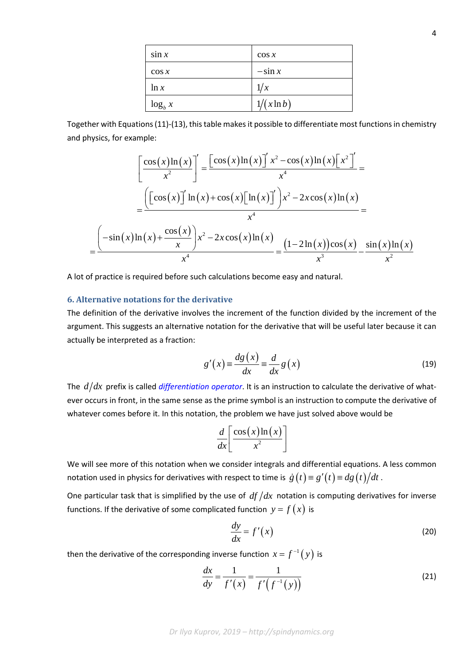| $\sin x$   | $\cos x$      |
|------------|---------------|
| $\cos x$   | $-\sin x$     |
| ln x       | 1/x           |
| $\log_b x$ | $1/(x \ln b)$ |

Together with Equations (11)-(13), this table makes it possible to differentiate most functions in chemistry and physics, for example:

$$
\left[\frac{\cos(x)\ln(x)}{x^2}\right]' = \frac{\left[\cos(x)\ln(x)\right]'x^2 - \cos(x)\ln(x)\left[x^2\right]'}{x^4} =
$$

$$
= \frac{\left(\left[\cos(x)\right]'\ln(x) + \cos(x)\left[\ln(x)\right]'\right)x^2 - 2x\cos(x)\ln(x)}{x^4} =
$$

$$
= \frac{\left(-\sin(x)\ln(x) + \frac{\cos(x)}{x}\right)x^2 - 2x\cos(x)\ln(x)}{x^4} = \frac{(1 - 2\ln(x))\cos(x)}{x^3} - \frac{\sin(x)\ln(x)}{x^2}
$$

A lot of practice is required before such calculations become easy and natural.

## **6. Alternative notations for the derivative**

The definition of the derivative involves the increment of the function divided by the increment of the argument. This suggests an alternative notation for the derivative that will be useful later because it can actually be interpreted as a fraction:

$$
g'(x) \equiv \frac{dg(x)}{dx} \equiv \frac{d}{dx} g(x)
$$
 (19)

The  $d/dx$  prefix is called *[differentiation operator](https://en.wikipedia.org/wiki/Differential_operator)*. It is an instruction to calculate the derivative of whatever occurs in front, in the same sense as the prime symbol is an instruction to compute the derivative of whatever comes before it. In this notation, the problem we have just solved above would be

$$
\frac{d}{dx}\left[\frac{\cos(x)\ln(x)}{x^2}\right]
$$

We will see more of this notation when we consider integrals and differential equations. A less common notation used in physics for derivatives with respect to time is  $\dot{g}(t) \equiv g'(t) \equiv dg(t)/dt$ .

One particular task that is simplified by the use of  $df/dx$  notation is computing derivatives for inverse functions. If the derivative of some complicated function  $y = f(x)$  is

$$
\frac{dy}{dx} = f'(x) \tag{20}
$$

then the derivative of the corresponding inverse function  $x = f^{-1}( y )$  is

$$
\frac{dx}{dy} = \frac{1}{f'(x)} = \frac{1}{f'(f^{-1}(y))}
$$
\n(21)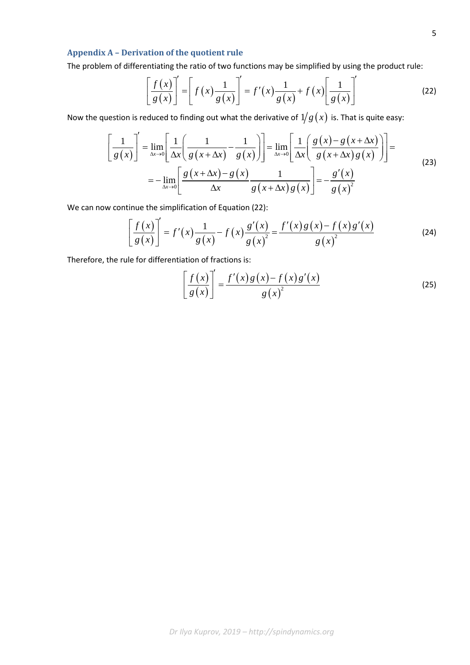# **Appendix A – Derivation of the quotient rule**

The problem of differentiating the ratio of two functions may be simplified by using the product rule:

$$
\left[\frac{f(x)}{g(x)}\right]' = \left[f(x)\frac{1}{g(x)}\right]' = f'(x)\frac{1}{g(x)} + f(x)\left[\frac{1}{g(x)}\right]'
$$
\n(22)

Now the question is reduced to finding out what the derivative of  $1/g(x)$  is. That is quite easy:

$$
\left[\frac{1}{g(x)}\right]' = \lim_{\Delta x \to 0} \left[\frac{1}{\Delta x} \left(\frac{1}{g(x + \Delta x)} - \frac{1}{g(x)}\right)\right] = \lim_{\Delta x \to 0} \left[\frac{1}{\Delta x} \left(\frac{g(x) - g(x + \Delta x)}{g(x + \Delta x)g(x)}\right)\right] = -\lim_{\Delta x \to 0} \left[\frac{g(x + \Delta x) - g(x)}{\Delta x} - \frac{1}{g(x + \Delta x)g(x)}\right] = -\frac{g'(x)}{g(x)^2}
$$
\n(23)

We can now continue the simplification of Equation (22):

$$
\left[\frac{f(x)}{g(x)}\right]' = f'(x)\frac{1}{g(x)} - f(x)\frac{g'(x)}{g(x)^2} = \frac{f'(x)g(x) - f(x)g'(x)}{g(x)^2}
$$
(24)

Therefore, the rule for differentiation of fractions is:

$$
\left[\frac{f(x)}{g(x)}\right]' = \frac{f'(x)g(x) - f(x)g'(x)}{g(x)^2} \tag{25}
$$